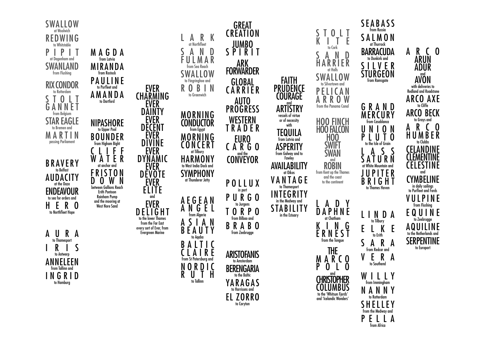

from Africa